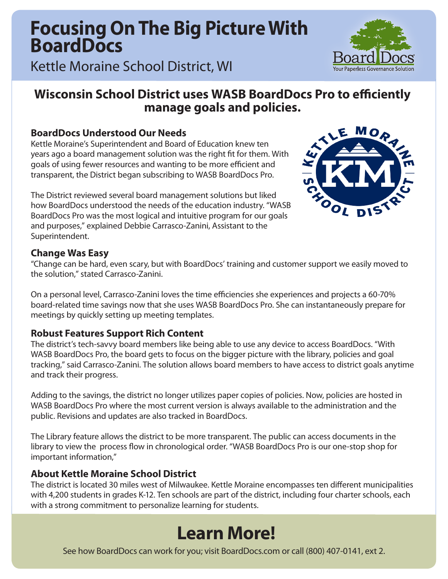## **Focusing On The Big Picture With BoardDocs**

Kettle Moraine School District, WI

## **Wisconsin School District uses WASB BoardDocs Pro to efficiently manage goals and policies.**

## **BoardDocs Understood Our Needs**

Kettle Moraine's Superintendent and Board of Education knew ten years ago a board management solution was the right fit for them. With goals of using fewer resources and wanting to be more efficient and transparent, the District began subscribing to WASB BoardDocs Pro.

The District reviewed several board management solutions but liked how BoardDocs understood the needs of the education industry. "WASB BoardDocs Pro was the most logical and intuitive program for our goals and purposes," explained Debbie Carrasco-Zanini, Assistant to the Superintendent.



### **Change Was Easy**

"Change can be hard, even scary, but with BoardDocs' training and customer support we easily moved to the solution," stated Carrasco-Zanini.

On a personal level, Carrasco-Zanini loves the time efficiencies she experiences and projects a 60-70% board-related time savings now that she uses WASB BoardDocs Pro. She can instantaneously prepare for meetings by quickly setting up meeting templates.

### **Robust Features Support Rich Content**

The district's tech-savvy board members like being able to use any device to access BoardDocs. "With WASB BoardDocs Pro, the board gets to focus on the bigger picture with the library, policies and goal tracking," said Carrasco-Zanini. The solution allows board members to have access to district goals anytime and track their progress.

Adding to the savings, the district no longer utilizes paper copies of policies. Now, policies are hosted in WASB BoardDocs Pro where the most current version is always available to the administration and the public. Revisions and updates are also tracked in BoardDocs.

The Library feature allows the district to be more transparent. The public can access documents in the library to view the process flow in chronological order. "WASB BoardDocs Pro is our one-stop shop for important information,"

### **About Kettle Moraine School District**

The district is located 30 miles west of Milwaukee. Kettle Moraine encompasses ten different municipalities with 4,200 students in grades K-12. Ten schools are part of the district, including four charter schools, each with a strong commitment to personalize learning for students.

## **Learn More!**

See how BoardDocs can work for you; visit BoardDocs.com or call (800) 407-0141, ext 2.